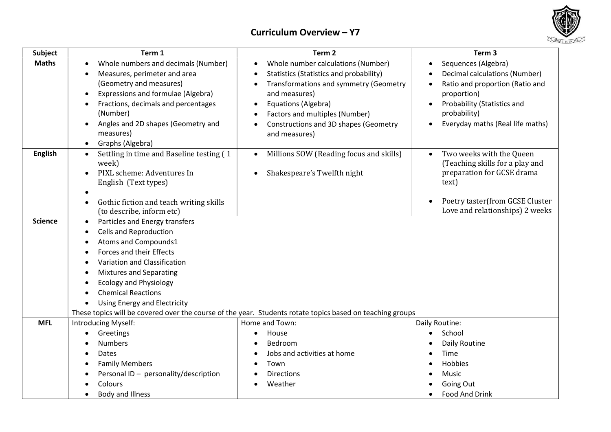



| <b>Subject</b> | Term 1                                                               | Term <sub>2</sub>                                                                                         | Term <sub>3</sub>                                                  |
|----------------|----------------------------------------------------------------------|-----------------------------------------------------------------------------------------------------------|--------------------------------------------------------------------|
| <b>Maths</b>   | Whole numbers and decimals (Number)                                  | Whole number calculations (Number)<br>$\bullet$                                                           | Sequences (Algebra)<br>$\bullet$                                   |
|                | Measures, perimeter and area<br>$\bullet$                            | Statistics (Statistics and probability)<br>$\bullet$                                                      | Decimal calculations (Number)                                      |
|                | (Geometry and measures)                                              | Transformations and symmetry (Geometry                                                                    | Ratio and proportion (Ratio and                                    |
|                | Expressions and formulae (Algebra)                                   | and measures)                                                                                             | proportion)                                                        |
|                | Fractions, decimals and percentages<br>$\bullet$                     | Equations (Algebra)<br>$\bullet$                                                                          | Probability (Statistics and                                        |
|                | (Number)                                                             | Factors and multiples (Number)<br>$\bullet$                                                               | probability)                                                       |
|                | Angles and 2D shapes (Geometry and<br>$\bullet$                      | Constructions and 3D shapes (Geometry<br>$\bullet$                                                        | Everyday maths (Real life maths)                                   |
|                | measures)                                                            | and measures)                                                                                             |                                                                    |
|                | Graphs (Algebra)<br>$\bullet$                                        |                                                                                                           |                                                                    |
| <b>English</b> | Settling in time and Baseline testing (1<br>$\bullet$<br>week)       | Millions SOW (Reading focus and skills)<br>$\bullet$                                                      | Two weeks with the Queen<br>(Teaching skills for a play and        |
|                | PIXL scheme: Adventures In                                           | Shakespeare's Twelfth night<br>$\bullet$                                                                  | preparation for GCSE drama                                         |
|                | English (Text types)                                                 |                                                                                                           | text)                                                              |
|                |                                                                      |                                                                                                           |                                                                    |
|                | Gothic fiction and teach writing skills<br>(to describe, inform etc) |                                                                                                           | Poetry taster(from GCSE Cluster<br>Love and relationships) 2 weeks |
| <b>Science</b> | Particles and Energy transfers<br>$\bullet$                          |                                                                                                           |                                                                    |
|                | <b>Cells and Reproduction</b><br>$\bullet$                           |                                                                                                           |                                                                    |
|                | Atoms and Compounds1                                                 |                                                                                                           |                                                                    |
|                | Forces and their Effects<br>$\bullet$                                |                                                                                                           |                                                                    |
|                | Variation and Classification<br>$\bullet$                            |                                                                                                           |                                                                    |
|                | <b>Mixtures and Separating</b>                                       |                                                                                                           |                                                                    |
|                | <b>Ecology and Physiology</b>                                        |                                                                                                           |                                                                    |
|                | <b>Chemical Reactions</b>                                            |                                                                                                           |                                                                    |
|                | <b>Using Energy and Electricity</b>                                  |                                                                                                           |                                                                    |
|                |                                                                      | These topics will be covered over the course of the year. Students rotate topics based on teaching groups |                                                                    |
| <b>MFL</b>     | Introducing Myself:                                                  | Home and Town:                                                                                            | Daily Routine:                                                     |
|                | Greetings<br>$\bullet$                                               | House<br>$\bullet$                                                                                        | School                                                             |
|                | <b>Numbers</b>                                                       | Bedroom                                                                                                   | Daily Routine                                                      |
|                | Dates                                                                | Jobs and activities at home                                                                               | Time                                                               |
|                | <b>Family Members</b>                                                | Town                                                                                                      | Hobbies                                                            |
|                | Personal ID - personality/description                                | <b>Directions</b>                                                                                         | Music                                                              |
|                | Colours                                                              | Weather                                                                                                   | Going Out                                                          |
|                | <b>Body and Illness</b>                                              |                                                                                                           | Food And Drink                                                     |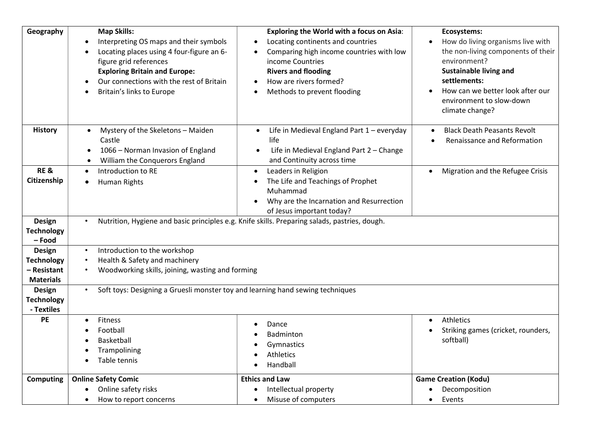| Geography                                                      | <b>Map Skills:</b><br>Interpreting OS maps and their symbols<br>Locating places using 4 four-figure an 6-<br>figure grid references<br><b>Exploring Britain and Europe:</b><br>Our connections with the rest of Britain<br>Britain's links to Europe | <b>Exploring the World with a focus on Asia:</b><br>Locating continents and countries<br>$\bullet$<br>Comparing high income countries with low<br>income Countries<br><b>Rivers and flooding</b><br>How are rivers formed?<br>$\bullet$<br>Methods to prevent flooding | Ecosystems:<br>How do living organisms live with<br>the non-living components of their<br>environment?<br><b>Sustainable living and</b><br>settlements:<br>How can we better look after our<br>environment to slow-down<br>climate change? |  |  |
|----------------------------------------------------------------|------------------------------------------------------------------------------------------------------------------------------------------------------------------------------------------------------------------------------------------------------|------------------------------------------------------------------------------------------------------------------------------------------------------------------------------------------------------------------------------------------------------------------------|--------------------------------------------------------------------------------------------------------------------------------------------------------------------------------------------------------------------------------------------|--|--|
| <b>History</b>                                                 | Mystery of the Skeletons - Maiden<br>$\bullet$<br>Castle<br>1066 - Norman Invasion of England<br>William the Conquerors England                                                                                                                      | Life in Medieval England Part 1 - everyday<br>$\bullet$<br>life<br>Life in Medieval England Part 2 - Change<br>$\bullet$<br>and Continuity across time                                                                                                                 | <b>Black Death Peasants Revolt</b><br>Renaissance and Reformation                                                                                                                                                                          |  |  |
| <b>RE &amp;</b><br>Citizenship                                 | Introduction to RE<br>$\bullet$<br><b>Human Rights</b>                                                                                                                                                                                               | Leaders in Religion<br>$\bullet$<br>The Life and Teachings of Prophet<br>Muhammad<br>Why are the Incarnation and Resurrection<br>of Jesus important today?                                                                                                             | Migration and the Refugee Crisis                                                                                                                                                                                                           |  |  |
| <b>Design</b><br><b>Technology</b><br>- Food                   | $\bullet$                                                                                                                                                                                                                                            | Nutrition, Hygiene and basic principles e.g. Knife skills. Preparing salads, pastries, dough.                                                                                                                                                                          |                                                                                                                                                                                                                                            |  |  |
| Design<br><b>Technology</b><br>– Resistant<br><b>Materials</b> | Introduction to the workshop<br>$\bullet$<br>Health & Safety and machinery<br>$\bullet$                                                                                                                                                              | Woodworking skills, joining, wasting and forming                                                                                                                                                                                                                       |                                                                                                                                                                                                                                            |  |  |
| Design<br><b>Technology</b><br>- Textiles                      | $\bullet$                                                                                                                                                                                                                                            | Soft toys: Designing a Gruesli monster toy and learning hand sewing techniques                                                                                                                                                                                         |                                                                                                                                                                                                                                            |  |  |
| PE                                                             | <b>Fitness</b><br>$\bullet$<br>Football<br>Basketball<br>Trampolining<br>Table tennis                                                                                                                                                                | Dance<br>Badminton<br>Gymnastics<br>Athletics<br>Handball                                                                                                                                                                                                              | Athletics<br>$\bullet$<br>Striking games (cricket, rounders,<br>softball)                                                                                                                                                                  |  |  |
| <b>Computing</b>                                               | <b>Online Safety Comic</b><br>Online safety risks<br>How to report concerns<br>$\bullet$                                                                                                                                                             | <b>Ethics and Law</b><br>Intellectual property<br>Misuse of computers                                                                                                                                                                                                  | <b>Game Creation (Kodu)</b><br>Decomposition<br>Events<br>$\bullet$                                                                                                                                                                        |  |  |